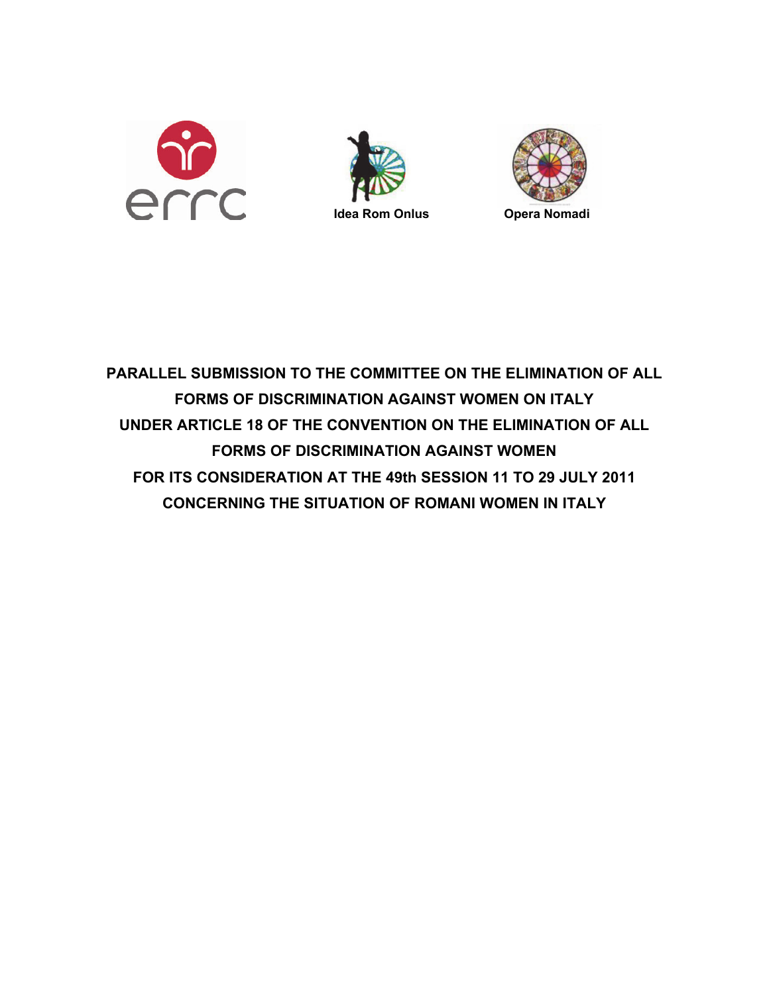





<span id="page-0-0"></span>**PARALLEL SUBMISSION TO THE COMMITTEE ON THE ELIMINATION OF ALL FORMS OF DISCRIMINATION AGAINST WOMEN ON ITALY UNDER ARTICLE 18 OF THE CONVENTION ON THE ELIMINATION OF ALL FORMS OF DISCRIMINATION AGAINST WOMEN FOR ITS CONSIDERATION AT THE 49th SESSION 11 TO 29 JULY 2011 CONCERNING THE SITUATION OF ROMANI WOMEN IN ITALY**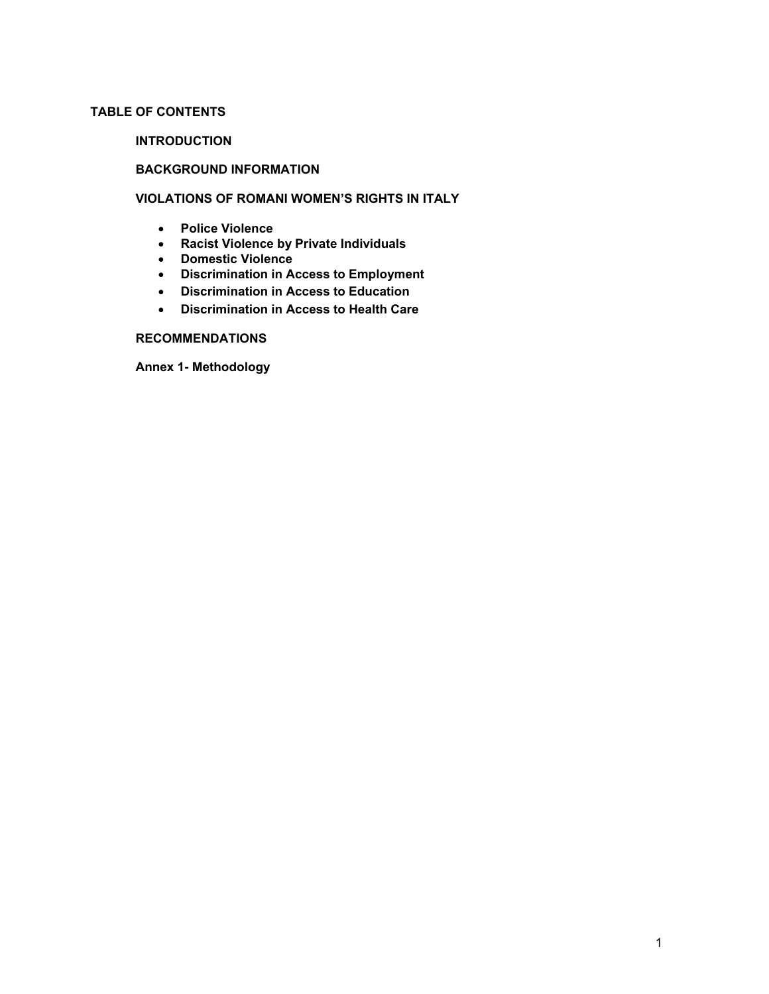# **TABLE OF CONTENTS**

## **INTRODUCTION**

# **BACKGROUND INFORMATION**

# **VIOLATIONS OF ROMANI WOMEN'S RIGHTS IN ITALY**

- **Police Violence**
- **Racist Violence by Private Individuals**
- **Domestic Violence**
- **Discrimination in Access to Employment**
- **Discrimination in Access to Education**
- **Discrimination in Access to Health Care**

# **RECOMMENDATIONS**

**Annex 1- Methodology**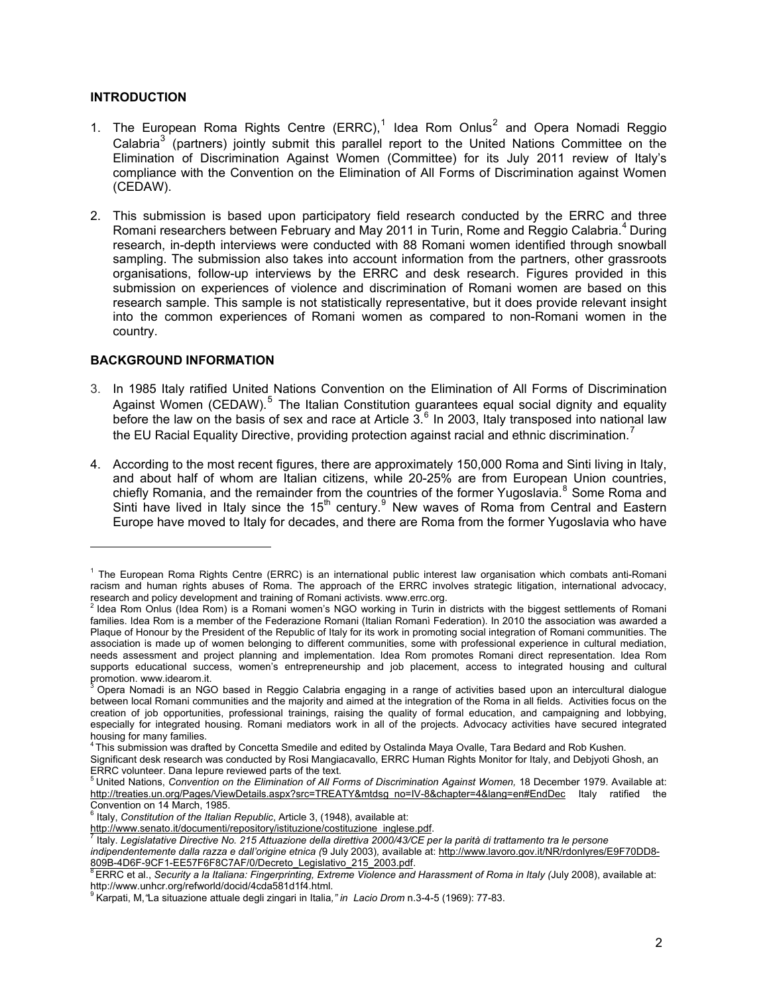### **INTRODUCTION**

- [1](#page-0-0). The European Roma Rights Centre (ERRC),<sup>1</sup> Idea Rom Onlus<sup>[2](#page-2-0)</sup> and Opera Nomadi Reggio Calabria<sup>[3](#page-2-1)</sup> (partners) jointly submit this parallel report to the United Nations Committee on the Elimination of Discrimination Against Women (Committee) for its July 2011 review of Italy's compliance with the Convention on the Elimination of All Forms of Discrimination against Women (CEDAW).
- 2. This submission is based upon participatory field research conducted by the ERRC and three Romani researchers between February and May 2011 in Turin, Rome and Reggio Calabria.<sup>[4](#page-2-2)</sup> During research, in-depth interviews were conducted with 88 Romani women identified through snowball sampling. The submission also takes into account information from the partners, other grassroots organisations, follow-up interviews by the ERRC and desk research. Figures provided in this submission on experiences of violence and discrimination of Romani women are based on this research sample. This sample is not statistically representative, but it does provide relevant insight into the common experiences of Romani women as compared to non-Romani women in the country.

## **BACKGROUND INFORMATION**

- 3. In 1985 Italy ratified United Nations Convention on the Elimination of All Forms of Discrimination Against Women (CEDAW).<sup>[5](#page-2-3)</sup> The Italian Constitution guarantees equal social dignity and equality before the law on the basis of sex and race at Article  $3.6$  $3.6$  In 2003, Italy transposed into national law the EU Racial Equality Directive, providing protection against racial and ethnic discrimination.<sup>[7](#page-2-5)</sup>
- 4. According to the most recent figures, there are approximately 150,000 Roma and Sinti living in Italy, and about half of whom are Italian citizens, while 20-25% are from European Union countries, chiefly Romania, and the remainder from the countries of the former Yugoslavia.<sup>[8](#page-2-6)</sup> Some Roma and Sinti have lived in Italy since the 15<sup>th</sup> century.<sup>[9](#page-2-7)</sup> New waves of Roma from Central and Eastern Europe have moved to Italy for decades, and there are Roma from the former Yugoslavia who have

<sup>&</sup>lt;sup>1</sup> The European Roma Rights Centre (ERRC) is an international public interest law organisation which combats anti-Romani racism and human rights abuses of Roma. The approach of the ERRC involves strategic litigation, international advocacy, research and policy development and training of Romani activists. www.errc.org.<br><sup>2</sup> Idea Rom Onlus (Idea Rom) is a Romani women's NGO working in Turin in districts with the biggest settlements of Romani

<span id="page-2-0"></span>families. Idea Rom is a member of the Federazione Romani (Italian Romani Federation). In 2010 the association was awarded a Plaque of Honour by the President of the Republic of Italy for its work in promoting social integration of Romani communities. The association is made up of women belonging to different communities, some with professional experience in cultural mediation, needs assessment and project planning and implementation. Idea Rom promotes Romani direct representation. Idea Rom supports educational success, women's entrepreneurship and job placement, access to integrated housing and cultural promotion. www.idearom.it.

<span id="page-2-1"></span>Opera Nomadi is an NGO based in Reggio Calabria engaging in a range of activities based upon an intercultural dialogue between local Romani communities and the majority and aimed at the integration of the Roma in all fields. Activities focus on the creation of job opportunities, professional trainings, raising the quality of formal education, and campaigning and lobbying, especially for integrated housing. Romani mediators work in all of the projects. Advocacy activities have secured integrated housing for many families.

<sup>4</sup> This submission was drafted by Concetta Smedile and edited by Ostalinda Maya Ovalle, Tara Bedard and Rob Kushen.

<span id="page-2-2"></span>Significant desk research was conducted by Rosi Mangiacavallo, ERRC Human Rights Monitor for Italy, and Debjyoti Ghosh, an ERRC volunteer. Dana lepure reviewed parts of the text.<br><sup>5</sup> United Nations, *Convention on the Elimination of All Forms of Discrimination Against Women, 18 December 1979. Available at:* 

<span id="page-2-3"></span>[http://treaties.un.org/Pages/ViewDetails.aspx?src=TREATY&mtdsg\\_no=IV-8&chapter=4&lang=en#EndDec](http://treaties.un.org/Pages/ViewDetails.aspx?src=TREATY&mtdsg_no=IV-8&chapter=4&lang=en#EndDec) Italy ratified the Convention on 14 March, 1985.

<sup>&</sup>lt;sup>6</sup> Italy, *Constitution of the Italian Republic*, Article 3, (1948), available at:

<span id="page-2-4"></span>http://www.senato.it/documenti/repository/istituzione\_inglese.pdf.<br>[7](http://www.senato.it/documenti/repository/istituzione/costituzione_inglese.pdf) Italy Logislatetive Directive Mr. 945 Attractive dillugione\_inglese.com

Italy. *Legislatative Directive No. 215 Attuazione della direttiva 2000/43/CE per la parità di trattamento tra le persone* 

<span id="page-2-5"></span>*indipendentemente dalla razza e dall'origine etnica (*9 July 2003)*,* available at: [http://www.lavoro.gov.it/NR/rdonlyres/E9F70DD8-](http://www.lavoro.gov.it/NR/rdonlyres/E9F70DD8-809B-4D6F-9CF1-EE57F6F8C7AF/0/Decreto_Legislativo_215_2003.pdf) [809B-4D6F-9CF1-EE57F6F8C7AF/0/Decreto\\_Legislativo\\_215\\_2003.pdf.](http://www.lavoro.gov.it/NR/rdonlyres/E9F70DD8-809B-4D6F-9CF1-EE57F6F8C7AF/0/Decreto_Legislativo_215_2003.pdf)<br>809B-4D6F-9CF1-EE57F6F8C7AF/0/Decreto\_Legislativo\_215\_2003.pdf.<br><sup>8</sup> ERRC et al., *Security a la Italiana: Fingerprinting, Extreme Violence and Harassment of R* 

<span id="page-2-6"></span>http://www.unhcr.org/refworld/docid/4cda581d1f4.html.

<span id="page-2-7"></span><sup>9</sup> Karpati, M,*"*La situazione attuale degli zingari in Italia*," in Lacio Drom* n.3-4-5 (1969): 77-83.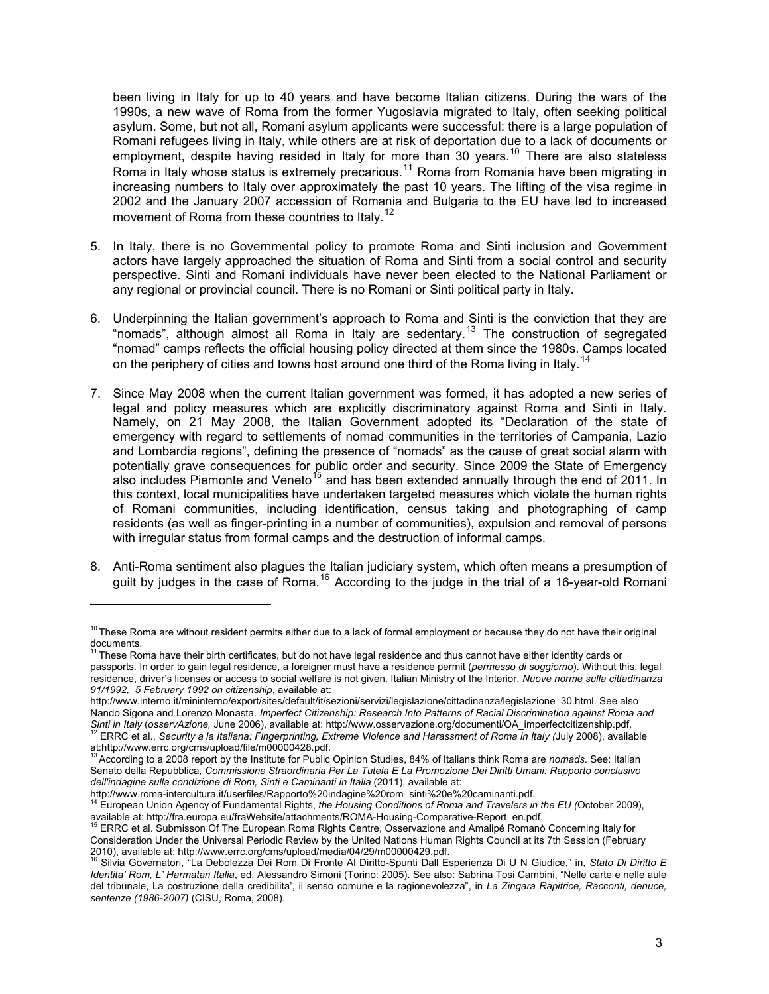been living in Italy for up to 40 years and have become Italian citizens. During the wars of the 1990s, a new wave of Roma from the former Yugoslavia migrated to Italy, often seeking political asylum. Some, but not all, Romani asylum applicants were successful: there is a large population of Romani refugees living in Italy, while others are at risk of deportation due to a lack of documents or employment, despite having resided in Italy for more than 30 years.<sup>10</sup> There are also stateless Roma in Italy whose status is extremely precarious.<sup>11</sup> Roma from Romania have been migrating in increasing numbers to Italy over approximately the past 10 years. The lifting of the visa regime in 2002 and the January 2007 accession of Romania and Bulgaria to the EU have led to increased movement of Roma from these countries to Italy.<sup>12</sup>

- 5. In Italy, there is no Governmental policy to promote Roma and Sinti inclusion and Government actors have largely approached the situation of Roma and Sinti from a social control and security perspective. Sinti and Romani individuals have never been elected to the National Parliament or any regional or provincial council. There is no Romani or Sinti political party in Italy.
- 6. Underpinning the Italian government's approach to Roma and Sinti is the conviction that they are "nomads", although almost all Roma in Italy are sedentary.<sup>[13](#page-3-0)</sup> The construction of segregated "nomad" camps reflects the official housing policy directed at them since the 1980s. Camps located on the periphery of cities and towns host around one third of the Roma living in Italy.<sup>[14](#page-3-1)</sup>
- 7. Since May 2008 when the current Italian government was formed, it has adopted a new series of legal and policy measures which are explicitly discriminatory against Roma and Sinti in Italy. Namely, on 21 May 2008, the Italian Government adopted its "Declaration of the state of emergency with regard to settlements of nomad communities in the territories of Campania, Lazio and Lombardia regions", defining the presence of "nomads" as the cause of great social alarm with potentially grave consequences for public order and security. Since 2009 the State of Emergency also includes Piemonte and Veneto<sup>[15](#page-3-2)</sup> and has been extended annually through the end of 2011. In this context, local municipalities have undertaken targeted measures which violate the human rights of Romani communities, including identification, census taking and photographing of camp residents (as well as finger-printing in a number of communities), expulsion and removal of persons with irregular status from formal camps and the destruction of informal camps.
- 8. Anti-Roma sentiment also plagues the Italian judiciary system, which often means a presumption of guilt by judges in the case of Roma.<sup>[16](#page-3-3)</sup> According to the judge in the trial of a 16-year-old Romani

[http://www.interno.it/mininterno/export/sites/default/it/sezioni/servizi/legislazione/cittadinanza/legislazione\\_30.html.](http://www.interno.it/mininterno/export/sites/default/it/sezioni/servizi/legislazione/cittadinanza/legislazione_30.html) See also Nando Sigona and Lorenzo Monasta. *Imperfect Citizenship: Research Into Patterns of Racial Discrimination against Roma and*  Sinti in Italy (osservAzione, June 2006), available at: http://www.osservazione.org/documenti/OA\_imperfectcitizenship.pdf<br><sup>12</sup> ERRC et al., Security a la Italiana: Fingerprinting, Extreme Violence and Harassment of Roma in

<sup>&</sup>lt;sup>10</sup> These Roma are without resident permits either due to a lack of formal employment or because they do not have their original

documents.<br><sup>11</sup> These Roma have their birth certificates, but do not have legal residence and thus cannot have either identity cards or passports. In order to gain legal residence, a foreigner must have a residence permit (*permesso di soggiorno*). Without this, legal residence, driver's licenses or access to social welfare is not given. Italian Ministry of the Interior, *Nuove norme sulla cittadinanza 91/1992, 5 February 1992 on citizenship*, available at:

at:<http://www.errc.org/cms/upload/file/m00000428.pdf>.<br>
<sup>13</sup> According to a 2008 report by the Institute for Public Opinion Studies, 84% of Italians think Roma are *nomads*. See: Italian

<span id="page-3-0"></span>Senato della Repubblica*, Commissione Straordinaria Per La Tutela E La Promozione Dei Diritti Umani: Rapporto conclusivo dell'indagine sulla condizione di Rom, Sinti e Caminanti in Italia* (2011), available at:

<span id="page-3-1"></span>[http://www.roma-](http://www.roma/)intercultura.it/userfiles/Rapporto%20indagine%20rom\_sinti%20e%20caminanti.pdf. [14](http://www.roma/) European Union Agency of Fundamental Rights, *the Housing Conditions of Roma and Travelers in the EU (*October 2009), available at: http://fra.europa.eu/fraWebsite/attachments/ROMA-Housing-Comparative-Report\_en.pdf. 15 Australie<br>15 ERRC et al. Submisson Of The European Roma Rights Centre, Osservazione and Amalipé Romanò Concerning Italy f

<span id="page-3-2"></span>Consideration Under the Universal Periodic Review by the United Nations Human Rights Council at its 7th Session (February 2010), available at: http://www.errc.org/cms/upload/media/04/29/m00000429.pdf.

<span id="page-3-3"></span>Silvia Governatori, "La Debolezza Dei Rom Di Fronte Al Diritto-Spunti Dall Esperienza Di U N Giudice," in, Stato Di Diritto E *Identita' Rom, L' Harmatan Italia*, ed. Alessandro Simoni (Torino: 2005). See also: Sabrina Tosi Cambini, "Nelle carte e nelle aule del tribunale, La costruzione della credibilita', il senso comune e la ragionevolezza", in *La Zingara Rapitrice, Racconti, denuce, sentenze (1986-2007)* (CISU, Roma, 2008).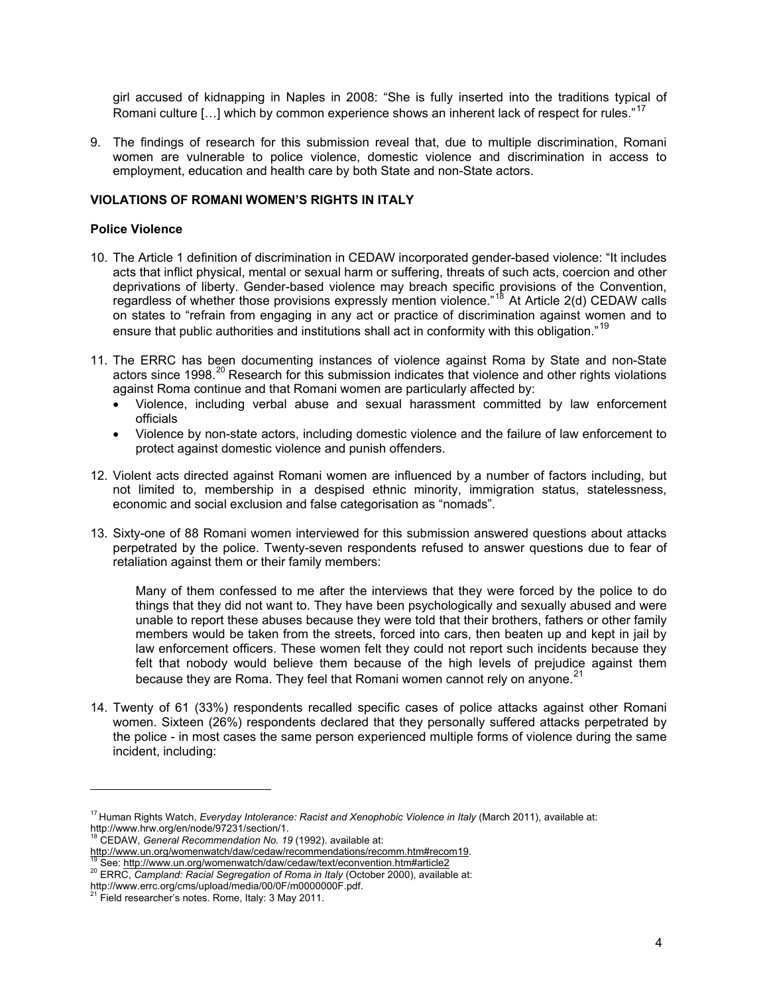girl accused of kidnapping in Naples in 2008: "She is fully inserted into the traditions typical of Romani culture  $[...]$  which by common experience shows an inherent lack of respect for rules."<sup>17</sup>

9. The findings of research for this submission reveal that, due to multiple discrimination, Romani women are vulnerable to police violence, domestic violence and discrimination in access to employment, education and health care by both State and non-State actors.

### **VIOLATIONS OF ROMANI WOMEN'S RIGHTS IN ITALY**

#### **Police Violence**

- 10. The Article 1 definition of discrimination in CEDAW incorporated gender-based violence: "It includes acts that inflict physical, mental or sexual harm or suffering, threats of such acts, coercion and other deprivations of liberty. Gender-based violence may breach specific provisions of the Convention, regardless of whether those provisions expressly mention violence."<sup>[18](#page-4-0)</sup> At Article 2(d) CEDAW calls on states to "refrain from engaging in any act or practice of discrimination against women and to ensure that public authorities and institutions shall act in conformity with this obligation."<sup>[19](#page-4-1)</sup>
- 11. The ERRC has been documenting instances of violence against Roma by State and non-State actors since 1998.<sup>[20](#page-4-2)</sup> Research for this submission indicates that violence and other rights violations against Roma continue and that Romani women are particularly affected by:
	- Violence, including verbal abuse and sexual harassment committed by law enforcement officials
	- Violence by non-state actors, including domestic violence and the failure of law enforcement to protect against domestic violence and punish offenders.
- 12. Violent acts directed against Romani women are influenced by a number of factors including, but not limited to, membership in a despised ethnic minority, immigration status, statelessness, economic and social exclusion and false categorisation as "nomads".
- 13. Sixty-one of 88 Romani women interviewed for this submission answered questions about attacks perpetrated by the police. Twenty-seven respondents refused to answer questions due to fear of retaliation against them or their family members:

Many of them confessed to me after the interviews that they were forced by the police to do things that they did not want to. They have been psychologically and sexually abused and were unable to report these abuses because they were told that their brothers, fathers or other family members would be taken from the streets, forced into cars, then beaten up and kept in jail by law enforcement officers. These women felt they could not report such incidents because they felt that nobody would believe them because of the high levels of prejudice against them because they are Roma. They feel that Romani women cannot rely on anyone.<sup>[21](#page-4-3)</sup>

<span id="page-4-4"></span>14. Twenty of 61 (33%) respondents recalled specific cases of police attacks against other Romani women. Sixteen (26%) respondents declared that they personally suffered attacks perpetrated by the police - in most cases the same person experienced multiple forms of violence during the same incident, including:

<sup>17</sup> Human Rights Watch, *Everyday Intolerance: Racist and Xenophobic Violence in Italy* (March 2011), available at: http://www.hrw.org/en/node/97231/section/1. 18 CEDAW, *General Recommendation No. 19* (1992). available at:

<span id="page-4-0"></span>

<span id="page-4-1"></span><http://www.un.org/womenwatch/daw/cedaw/recommendations/recomm.htm#recom19>.<br><sup>[19](http://www.un.org/womenwatch/daw/cedaw/recommendations/recomm.htm#recom19)</sup> See:<http://www.un.org/womenwatch/daw/cedaw/text/econvention.htm#article2><br><sup>20</sup> ERRC, Campland: Racial Segregation of Roma in Italy (October 20

<span id="page-4-2"></span>

<span id="page-4-3"></span>http://www.errc.org/cms/upload/media/00/0F/m0000000F.pdf.<br><sup>21</sup> Field researcher's notes. Rome, Italy: 3 May 2011.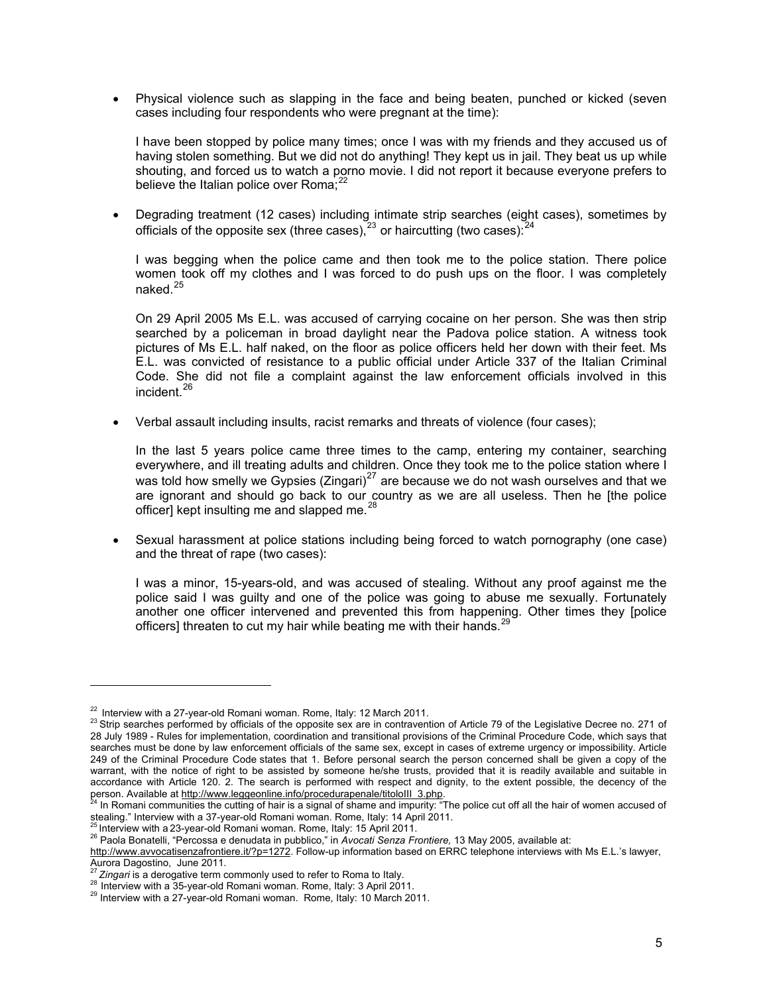Physical violence such as slapping in the face and being beaten, punched or kicked (seven cases including four respondents who were pregnant at the time):

I have been stopped by police many times; once I was with my friends and they accused us of having stolen something. But we did not do anything! They kept us in jail. They beat us up while shouting, and forced us to watch a porno movie. I did not report it because everyone prefers to believe the Italian police over Roma; $^{22}$  $^{22}$  $^{22}$ 

 Degrading treatment (12 cases) including intimate strip searches (eight cases), sometimes by officials of the opposite sex (three cases).<sup>[23](#page-5-0)</sup> or haircutting (two cases).<sup>[24](#page-5-1)</sup>

I was begging when the police came and then took me to the police station. There police women took off my clothes and I was forced to do push ups on the floor. I was completely naked.<sup>[25](#page-5-2)</sup>

On 29 April 2005 Ms E.L. was accused of carrying cocaine on her person. She was then strip searched by a policeman in broad daylight near the Padova police station. A witness took pictures of Ms E.L. half naked, on the floor as police officers held her down with their feet. Ms E.L. was convicted of resistance to a public official under Article 337 of the Italian Criminal Code. She did not file a complaint against the law enforcement officials involved in this incident.<sup>[26](#page-5-3)</sup>

Verbal assault including insults, racist remarks and threats of violence (four cases);

In the last 5 years police came three times to the camp, entering my container, searching everywhere, and ill treating adults and children. Once they took me to the police station where I was told how smelly we Gypsies (Zingari) $^{27}$  $^{27}$  $^{27}$  are because we do not wash ourselves and that we are ignorant and should go back to our country as we are all useless. Then he [the police officer] kept insulting me and slapped me.<sup>[28](#page-5-5)</sup>

 Sexual harassment at police stations including being forced to watch pornography (one case) and the threat of rape (two cases):

I was a minor, 15-years-old, and was accused of stealing. Without any proof against me the police said I was guilty and one of the police was going to abuse me sexually. Fortunately another one officer intervened and prevented this from happening. Other times they [police officers] threaten to cut my hair while beating me with their hands.<sup>2</sup>

<span id="page-5-2"></span>

<span id="page-5-0"></span><sup>&</sup>lt;sup>22</sup> Interview with a 27-year-old Romani woman. Rome, Italy: 12 March 2011.<br><sup>23</sup> Strip searches performed by officials of the opposite sex are in contravention of Article 79 of the Legislative Decree no. 271 of 28 July 1989 - Rules for implementation, coordination and transitional provisions of the Criminal Procedure Code, which says that searches must be done by law enforcement officials of the same sex, except in cases of extreme urgency or impossibility. Article 249 of the Criminal Procedure Code states that 1. Before personal search the person concerned shall be given a copy of the warrant, with the notice of right to be assisted by someone he/she trusts, provided that it is readily available and suitable in accordance with Article 120. 2. The search is performed with respect and dignity, to the extent possible, the decency of the person. Available at [http://www.leggeonline.info/procedurapenale/titoloIII\\_3.php.](http://www.leggeonline.info/procedurapenale/titoloIII_3.php) 24 In Romani communities the cutting of hair is a signal of shame and impurity: "The police cut off all the hair of women accused of

<span id="page-5-7"></span><span id="page-5-1"></span>stealing." Interview with a 37-year-old Romani woman. Rome, Italy: 14 April 2011.<br>
<sup>25</sup> Interview with a 23-year-old Romani woman. Rome, Italy: 14 April 2011.<br>
<sup>26</sup> Paola Bonatelli, "Percossa e denudata in pubblico," in Av

<span id="page-5-3"></span><http://www.avvocatisenzafrontiere.it/?p=1272>. Follow-up information based on ERRC telephone interviews with Ms E.L.'s lawyer, Aurora Dagostino, June 2011.<br>
<sup>27</sup> Zingari is a derogative term commonly used to refer to Roma to Italy.

<span id="page-5-6"></span><span id="page-5-5"></span><span id="page-5-4"></span><sup>28</sup> Interview with a 35-year-old Romani woman. Rome, Italy: 3 April 2011.<br>
<sup>29</sup> Interview with a 27-year-old Romani woman. Rome, Italy: 10 March 2011.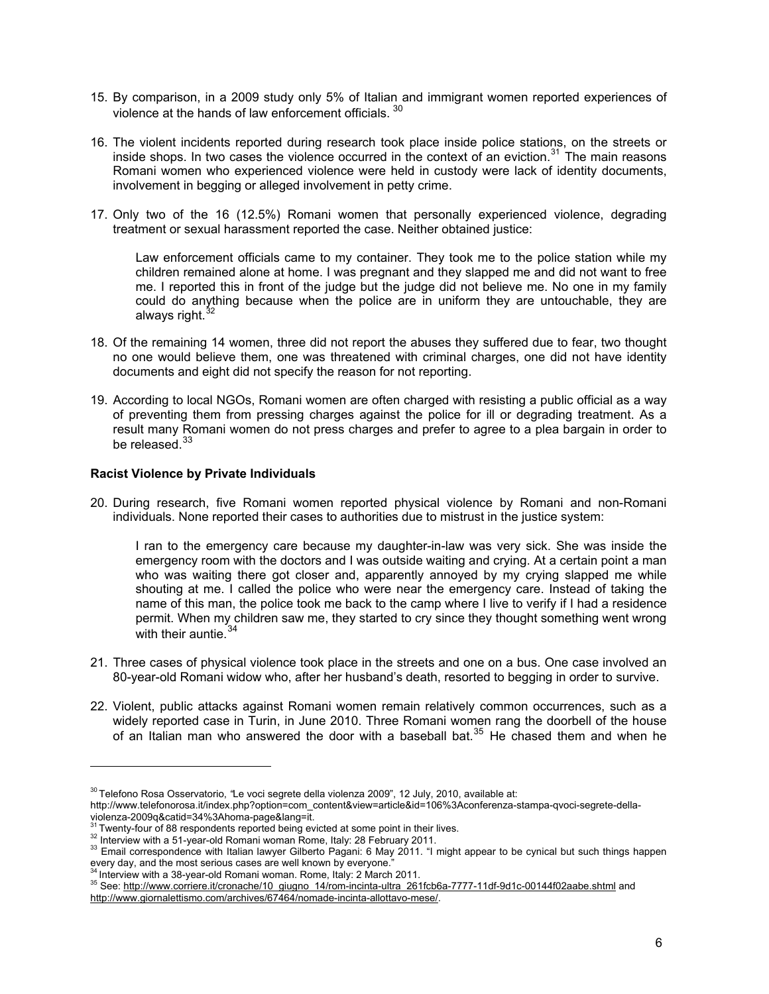- 15. By comparison, in a 2009 study only 5% of Italian and immigrant women reported experiences of violence at the hands of law enforcement officials. [30](#page-5-7)
- 16. The violent incidents reported during research took place inside police stations, on the streets or inside shops. In two cases the violence occurred in the context of an eviction. $31$  The main reasons Romani women who experienced violence were held in custody were lack of identity documents, involvement in begging or alleged involvement in petty crime.
- 17. Only two of the 16 (12.5%) Romani women that personally experienced violence, degrading treatment or sexual harassment reported the case. Neither obtained justice:

Law enforcement officials came to my container. They took me to the police station while my children remained alone at home. I was pregnant and they slapped me and did not want to free me. I reported this in front of the judge but the judge did not believe me. No one in my family could do anything because when the police are in uniform they are untouchable, they are always right. $3$ 

- 18. Of the remaining 14 women, three did not report the abuses they suffered due to fear, two thought no one would believe them, one was threatened with criminal charges, one did not have identity documents and eight did not specify the reason for not reporting.
- 19. According to local NGOs, Romani women are often charged with resisting a public official as a way of preventing them from pressing charges against the police for ill or degrading treatment. As a result many Romani women do not press charges and prefer to agree to a plea bargain in order to be released.<sup>[33](#page-6-2)</sup>

## **Racist Violence by Private Individuals**

20. During research, five Romani women reported physical violence by Romani and non-Romani individuals. None reported their cases to authorities due to mistrust in the justice system:

I ran to the emergency care because my daughter-in-law was very sick. She was inside the emergency room with the doctors and I was outside waiting and crying. At a certain point a man who was waiting there got closer and, apparently annoyed by my crying slapped me while shouting at me. I called the police who were near the emergency care. Instead of taking the name of this man, the police took me back to the camp where I live to verify if I had a residence permit. When my children saw me, they started to cry since they thought something went wrong with their auntie.<sup>[34](#page-6-3)</sup>

- 21. Three cases of physical violence took place in the streets and one on a bus. One case involved an 80-year-old Romani widow who, after her husband's death, resorted to begging in order to survive.
- 22. Violent, public attacks against Romani women remain relatively common occurrences, such as a widely reported case in Turin, in June 2010. Three Romani women rang the doorbell of the house of an Italian man who answered the door with a baseball bat.<sup>[35](#page-6-4)</sup> He chased them and when he

<sup>30</sup> Telefono Rosa Osservatorio, *"*Le voci segrete della violenza 2009", 12 July, 2010, available at:

http://www.telefonorosa.it/index.php?option=com\_content&view=article&id=106%3Aconferenza-stampa-qvoci-segrete-dellaviolenza-2009q&catid=34%3Ahoma-page&lang=it.<br><sup>31</sup>Twenty-four of 88 respondents reported being evicted at some point in their lives.

<span id="page-6-2"></span><span id="page-6-1"></span><span id="page-6-0"></span><sup>&</sup>lt;sup>32</sup> Interview with a 51-year-old Romani woman Rome, Italy: 28 February 2011.<br><sup>32</sup> Email correspondence with Italian lawyer Gilberto Pagani: 6 May 2011. "I might appear to be cynical but such things happen every day, and the most serious cases are well known by everyone."<br><sup>34</sup> Interview with a 38-year-old Romani woman. Rome, Italy: 2 March 2011.

<span id="page-6-4"></span><span id="page-6-3"></span><sup>35</sup> See: [http://www.corriere.it/cronache/10\\_giugno\\_14/rom-incinta-ultra\\_261fcb6a-7777-11df-9d1c-00144f02aabe.shtml](http://www.corriere.it/cronache/10_giugno_14/rom-incinta-ultra_261fcb6a-7777-11df-9d1c-00144f02aabe.shtml) and [http://www.giornalettismo.com/archives/67464/nomade-incinta-allottavo-mese/.](http://www.giornalettismo.com/archives/67464/nomade-incinta-allottavo-mese/)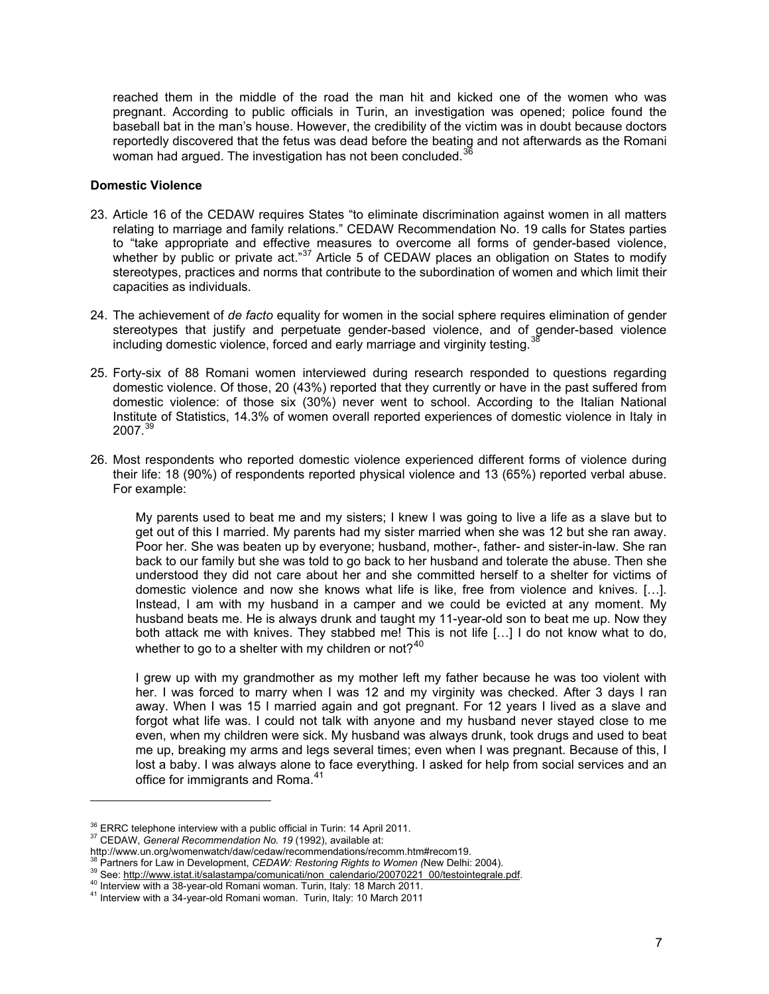reached them in the middle of the road the man hit and kicked one of the women who was pregnant. According to public officials in Turin, an investigation was opened; police found the baseball bat in the man's house. However, the credibility of the victim was in doubt because doctors reportedly discovered that the fetus was dead before the beating and not afterwards as the Romani woman had argued. The investigation has not been concluded.<sup>36</sup>

#### **Domestic Violence**

- 23. Article 16 of the CEDAW requires States "to eliminate discrimination against women in all matters relating to marriage and family relations." CEDAW Recommendation No. 19 calls for States parties to "take appropriate and effective measures to overcome all forms of gender-based violence, whether by public or private act."<sup>[37](#page-7-0)</sup> Article 5 of CEDAW places an obligation on States to modify stereotypes, practices and norms that contribute to the subordination of women and which limit their capacities as individuals.
- 24. The achievement of *de facto* equality for women in the social sphere requires elimination of gender stereotypes that justify and perpetuate gender-based violence, and of gender-based violence including domestic violence, forced and early marriage and virginity testing.<sup>3</sup>
- 25. Forty-six of 88 Romani women interviewed during research responded to questions regarding domestic violence. Of those, 20 (43%) reported that they currently or have in the past suffered from domestic violence: of those six (30%) never went to school. According to the Italian National Institute of Statistics, 14.3% of women overall reported experiences of domestic violence in Italy in  $2007.<sup>39</sup>$  $2007.<sup>39</sup>$  $2007.<sup>39</sup>$
- 26. Most respondents who reported domestic violence experienced different forms of violence during their life: 18 (90%) of respondents reported physical violence and 13 (65%) reported verbal abuse. For example:

My parents used to beat me and my sisters; I knew I was going to live a life as a slave but to get out of this I married. My parents had my sister married when she was 12 but she ran away. Poor her. She was beaten up by everyone; husband, mother-, father- and sister-in-law. She ran back to our family but she was told to go back to her husband and tolerate the abuse. Then she understood they did not care about her and she committed herself to a shelter for victims of domestic violence and now she knows what life is like, free from violence and knives. […]. Instead, I am with my husband in a camper and we could be evicted at any moment. My husband beats me. He is always drunk and taught my 11-year-old son to beat me up. Now they both attack me with knives. They stabbed me! This is not life […] I do not know what to do, whether to go to a shelter with my children or not? $40$ 

I grew up with my grandmother as my mother left my father because he was too violent with her. I was forced to marry when I was 12 and my virginity was checked. After 3 days I ran away. When I was 15 I married again and got pregnant. For 12 years I lived as a slave and forgot what life was. I could not talk with anyone and my husband never stayed close to me even, when my children were sick. My husband was always drunk, took drugs and used to beat me up, breaking my arms and legs several times; even when I was pregnant. Because of this, I lost a baby. I was always alone to face everything. I asked for help from social services and an office for immigrants and Roma.<sup>[41](#page-7-4)</sup>

<sup>&</sup>lt;sup>36</sup> ERRC telephone interview with a public official in Turin: 14 April 2011.<br><sup>37</sup> CEDAW, *General Recommendation No. 19* (1992), available at:

<span id="page-7-0"></span>

http://www.un.org/womenwatch/daw/cedaw/recommendations/recomm.htm#recom19.<br><sup>38</sup> Partners for Law in Development, CEDAW: Restoring Rights to Women (New Delhi: 2004).

<span id="page-7-1"></span>

<span id="page-7-2"></span><sup>&</sup>lt;sup>39</sup> See: [http://www.istat.it/salastampa/comunicati/non\\_calendario/20070221\\_00/testointegrale.pdf](http://www.istat.it/salastampa/comunicati/non_calendario/20070221_00/testointegrale.pdf).<br><sup>40</sup> Interview with a 38-year-old Romani woman. Turin, Italy: 18 March 2011.<br><sup>41</sup> Interview with a 34-year-old Romani woman

<span id="page-7-3"></span>

<span id="page-7-4"></span>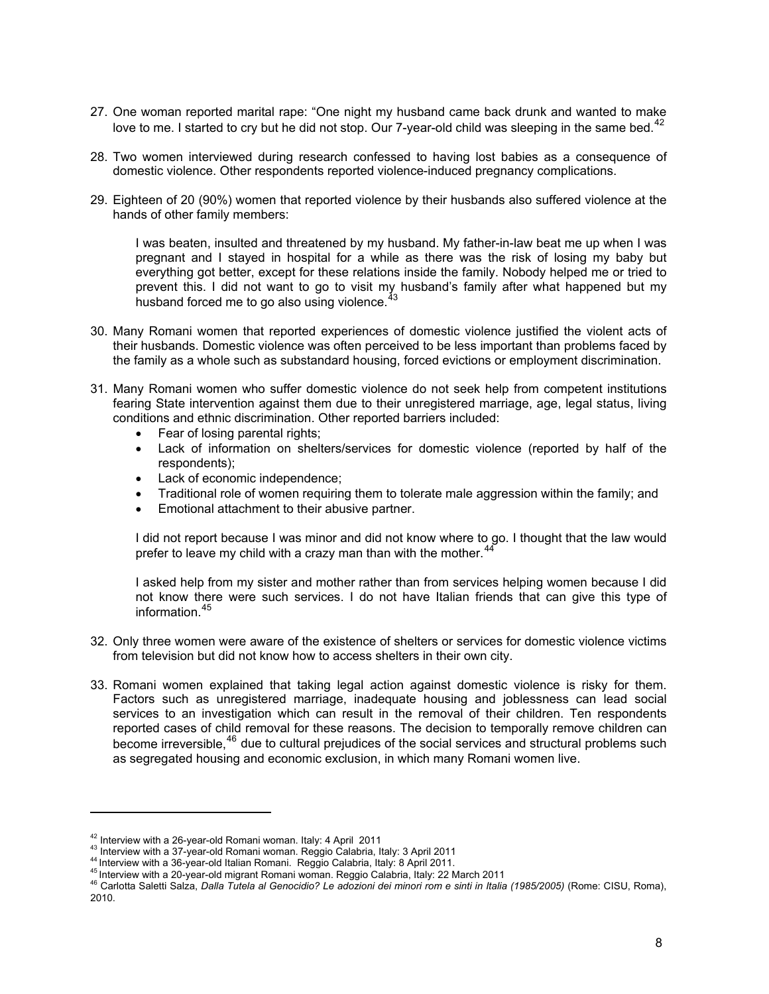- 27. One woman reported marital rape: "One night my husband came back drunk and wanted to make love to me. I started to cry but he did not stop. Our 7-year-old child was sleeping in the same bed.<sup>[42](#page-7-0)</sup>
- 28. Two women interviewed during research confessed to having lost babies as a consequence of domestic violence. Other respondents reported violence-induced pregnancy complications.
- 29. Eighteen of 20 (90%) women that reported violence by their husbands also suffered violence at the hands of other family members:

I was beaten, insulted and threatened by my husband. My father-in-law beat me up when I was pregnant and I stayed in hospital for a while as there was the risk of losing my baby but everything got better, except for these relations inside the family. Nobody helped me or tried to prevent this. I did not want to go to visit my husband's family after what happened but my husband forced me to go also using violence.<sup>[43](#page-8-0)</sup>

- 30. Many Romani women that reported experiences of domestic violence justified the violent acts of their husbands. Domestic violence was often perceived to be less important than problems faced by the family as a whole such as substandard housing, forced evictions or employment discrimination.
- 31. Many Romani women who suffer domestic violence do not seek help from competent institutions fearing State intervention against them due to their unregistered marriage, age, legal status, living conditions and ethnic discrimination. Other reported barriers included:
	- Fear of losing parental rights;
	- Lack of information on shelters/services for domestic violence (reported by half of the respondents);
	- Lack of economic independence;
	- Traditional role of women requiring them to tolerate male aggression within the family; and
	- Emotional attachment to their abusive partner.

I did not report because I was minor and did not know where to go. I thought that the law would prefer to leave my child with a crazy man than with the mother.<sup>[44](#page-8-1)</sup>

I asked help from my sister and mother rather than from services helping women because I did not know there were such services. I do not have Italian friends that can give this type of information.[45](#page-8-2)

- 32. Only three women were aware of the existence of shelters or services for domestic violence victims from television but did not know how to access shelters in their own city.
- 33. Romani women explained that taking legal action against domestic violence is risky for them. Factors such as unregistered marriage, inadequate housing and joblessness can lead social services to an investigation which can result in the removal of their children. Ten respondents reported cases of child removal for these reasons. The decision to temporally remove children can become irreversible,<sup>[46](#page-8-3)</sup> due to cultural prejudices of the social services and structural problems such as segregated housing and economic exclusion, in which many Romani women live.

<span id="page-8-0"></span>

<span id="page-8-1"></span>

<span id="page-8-3"></span><span id="page-8-2"></span>

<sup>&</sup>lt;sup>42</sup> Interview with a 26-year-old Romani woman. Italy: 4 April 2011<br><sup>43</sup> Interview with a 37-year-old Romani woman. Reggio Calabria, Italy: 3 April 2011<br><sup>44</sup> Interview with a 36-year-old Italian Romani. Reggio Calabria, I 2010.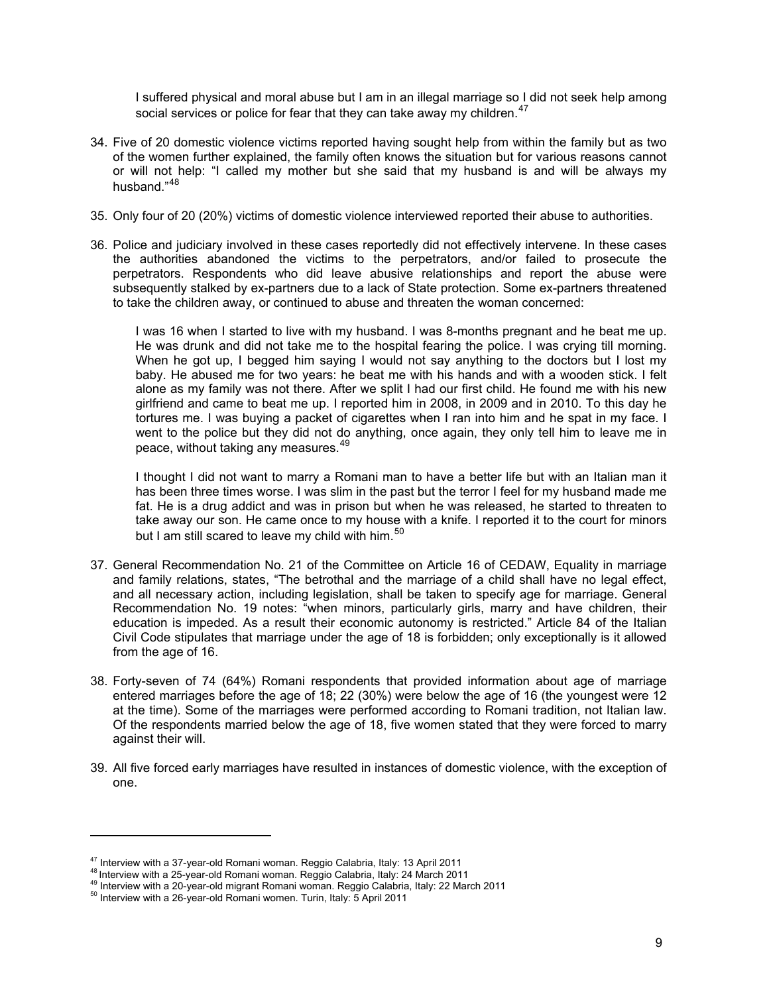I suffered physical and moral abuse but I am in an illegal marriage so I did not seek help among social services or police for fear that they can take away my children.<sup>[47](#page-8-1)</sup>

- 34. Five of 20 domestic violence victims reported having sought help from within the family but as two of the women further explained, the family often knows the situation but for various reasons cannot or will not help: "I called my mother but she said that my husband is and will be always my husband."<sup>[48](#page-9-0)</sup>
- 35. Only four of 20 (20%) victims of domestic violence interviewed reported their abuse to authorities.
- 36. Police and judiciary involved in these cases reportedly did not effectively intervene. In these cases the authorities abandoned the victims to the perpetrators, and/or failed to prosecute the perpetrators. Respondents who did leave abusive relationships and report the abuse were subsequently stalked by ex-partners due to a lack of State protection. Some ex-partners threatened to take the children away, or continued to abuse and threaten the woman concerned:

I was 16 when I started to live with my husband. I was 8-months pregnant and he beat me up. He was drunk and did not take me to the hospital fearing the police. I was crying till morning. When he got up, I begged him saying I would not say anything to the doctors but I lost my baby. He abused me for two years: he beat me with his hands and with a wooden stick. I felt alone as my family was not there. After we split I had our first child. He found me with his new girlfriend and came to beat me up. I reported him in 2008, in 2009 and in 2010. To this day he tortures me. I was buying a packet of cigarettes when I ran into him and he spat in my face. I went to the police but they did not do anything, once again, they only tell him to leave me in peace, without taking any measures.<sup>[49](#page-9-1)</sup>

I thought I did not want to marry a Romani man to have a better life but with an Italian man it has been three times worse. I was slim in the past but the terror I feel for my husband made me fat. He is a drug addict and was in prison but when he was released, he started to threaten to take away our son. He came once to my house with a knife. I reported it to the court for minors but I am still scared to leave my child with him.  $50$ 

- 37. General Recommendation No. 21 of the Committee on Article 16 of CEDAW, Equality in marriage and family relations, states, "The betrothal and the marriage of a child shall have no legal effect, and all necessary action, including legislation, shall be taken to specify age for marriage. General Recommendation No. 19 notes: "when minors, particularly girls, marry and have children, their education is impeded. As a result their economic autonomy is restricted." Article 84 of the Italian Civil Code stipulates that marriage under the age of 18 is forbidden; only exceptionally is it allowed from the age of 16.
- 38. Forty-seven of 74 (64%) Romani respondents that provided information about age of marriage entered marriages before the age of 18; 22 (30%) were below the age of 16 (the youngest were 12 at the time). Some of the marriages were performed according to Romani tradition, not Italian law. Of the respondents married below the age of 18, five women stated that they were forced to marry against their will.
- <span id="page-9-3"></span>39. All five forced early marriages have resulted in instances of domestic violence, with the exception of one.

<span id="page-9-1"></span><span id="page-9-0"></span>

<sup>&</sup>lt;sup>47</sup> Interview with a 37-year-old Romani woman. Reggio Calabria, Italy: 13 April 2011<br><sup>48</sup> Interview with a 25-year-old Romani woman. Reggio Calabria, Italy: 24 March 2011<br><sup>49</sup> Interview with a 20-year-old migrant Romani

<span id="page-9-2"></span>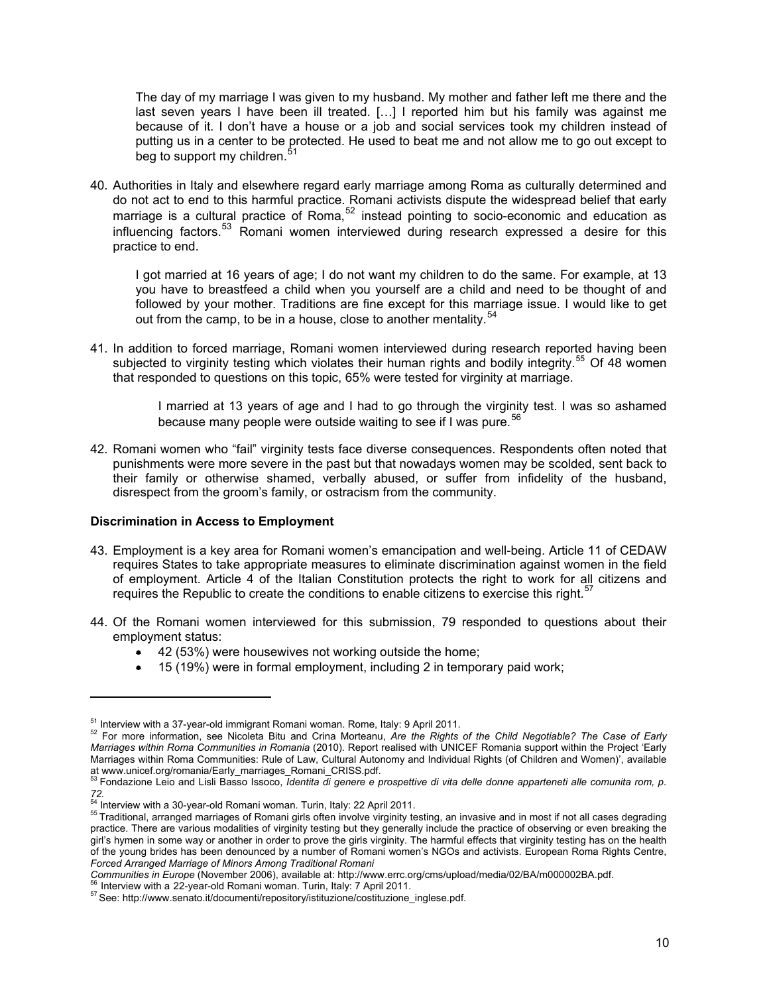The day of my marriage I was given to my husband. My mother and father left me there and the last seven years I have been ill treated. […] I reported him but his family was against me because of it. I don't have a house or a job and social services took my children instead of putting us in a center to be protected. He used to beat me and not allow me to go out except to beg to support my children.<sup>[51](#page-9-3)</sup>

40. Authorities in Italy and elsewhere regard early marriage among Roma as culturally determined and do not act to end to this harmful practice. Romani activists dispute the widespread belief that early marriage is a cultural practice of Roma, $52$  instead pointing to socio-economic and education as influencing factors.[53](#page-10-1) Romani women interviewed during research expressed a desire for this practice to end.

I got married at 16 years of age; I do not want my children to do the same. For example, at 13 you have to breastfeed a child when you yourself are a child and need to be thought of and followed by your mother. Traditions are fine except for this marriage issue. I would like to get out from the camp, to be in a house, close to another mentality.  $54$ 

41. In addition to forced marriage, Romani women interviewed during research reported having been subjected to virginity testing which violates their human rights and bodily integrity.<sup>[55](#page-10-3)</sup> Of 48 women that responded to questions on this topic, 65% were tested for virginity at marriage.

> I married at 13 years of age and I had to go through the virginity test. I was so ashamed because many people were outside waiting to see if I was pure.<sup>[56](#page-10-4)</sup>

42. Romani women who "fail" virginity tests face diverse consequences. Respondents often noted that punishments were more severe in the past but that nowadays women may be scolded, sent back to their family or otherwise shamed, verbally abused, or suffer from infidelity of the husband, disrespect from the groom's family, or ostracism from the community.

#### **Discrimination in Access to Employment**

- 43. Employment is a key area for Romani women's emancipation and well-being. Article 11 of CEDAW requires States to take appropriate measures to eliminate discrimination against women in the field of employment. Article 4 of the Italian Constitution protects the right to work for all citizens and requires the Republic to create the conditions to enable citizens to exercise this right.<sup>[57](#page-10-5)</sup>
- 44. Of the Romani women interviewed for this submission, 79 responded to questions about their employment status:
	- 42 (53%) were housewives not working outside the home;
	- 15 (19%) were in formal employment, including 2 in temporary paid work;

<span id="page-10-2"></span>

<span id="page-10-4"></span>Communities in Europe (November 2006), available at: http://www.errc.org/cms/upload/media/02/BA/m000002BA.pdf.<br><sup>56</sup> Interview with a 22-year-old Romani woman. Turin, Italy: 7 April 2011.<br><sup>57</sup> See: http://www.senato.it/docu

<span id="page-10-0"></span><sup>&</sup>lt;sup>51</sup> Interview with a 37-year-old immigrant Romani woman. Rome, Italy: 9 April 2011.<br><sup>52</sup> For more information, see Nicoleta Bitu and Crina Morteanu, *Are the Rights of the Child Negotiable? The Case of Early Marriages within Roma Communities in Romania* (2010). Report realised with UNICEF Romania support within the Project 'Early Marriages within Roma Communities: Rule of Law, Cultural Autonomy and Individual Rights (of Children and Women)', available

<span id="page-10-1"></span>at www.unicef.org/romania/Early\_marriages\_Romani\_CRISS.pdf.<br><sup>53</sup> Fondazione Leio and Lisli Basso Issoco, *Identita di genere e prospettive di vita delle donne apparteneti alle comunita rom, p.* 72.<br><sup>54</sup> Interview with a 30-year-old Romani woman. Turin, Italy: 22 April 2011.

<span id="page-10-6"></span><span id="page-10-3"></span><sup>&</sup>lt;sup>55</sup> Traditional, arranged marriages of Romani girls often involve virginity testing, an invasive and in most if not all cases degrading practice. There are various modalities of virginity testing but they generally include the practice of observing or even breaking the girl's hymen in some way or another in order to prove the girls virginity. The harmful effects that virginity testing has on the health of the young brides has been denounced by a number of Romani women's NGOs and activists. European Roma Rights Centre, *Forced Arranged Marriage of Minors Among Traditional Romani* 

<span id="page-10-5"></span>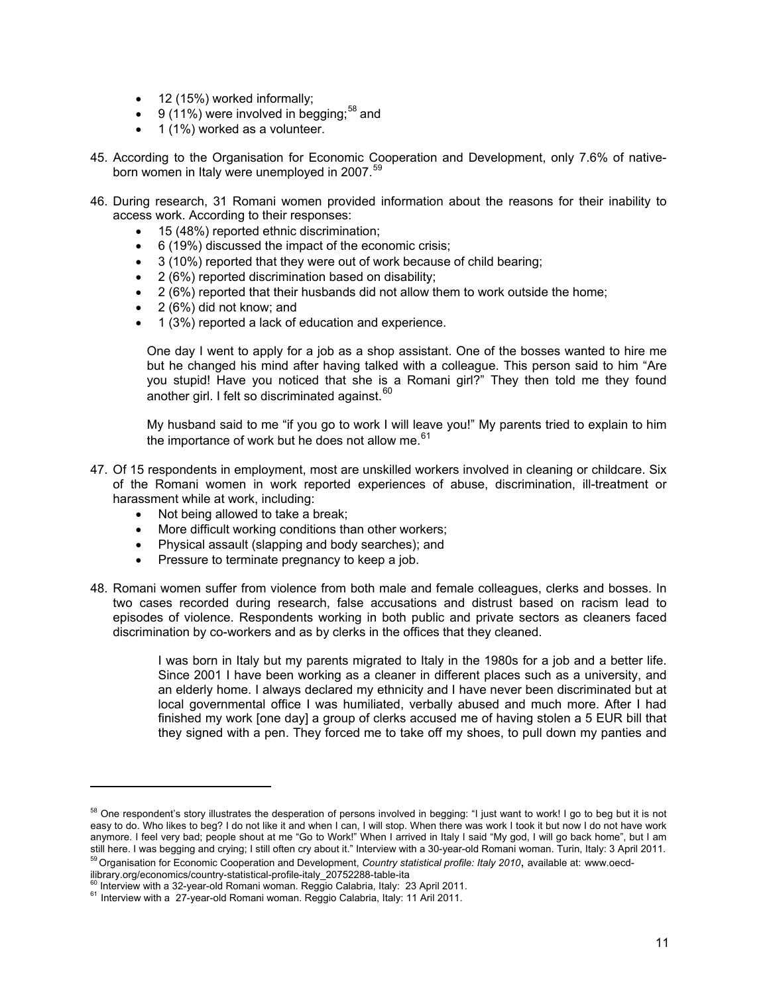- 12 (15%) worked informally;
- $\bullet$  9 (11%) were involved in begging;<sup>[58](#page-10-6)</sup> and
- $\bullet$  1 (1%) worked as a volunteer.
- 45. According to the Organisation for Economic Cooperation and Development, only 7.6% of native-born women in Italy were unemployed in 2007.<sup>[59](#page-11-0)</sup>
- 46. During research, 31 Romani women provided information about the reasons for their inability to access work. According to their responses:
	- 15 (48%) reported ethnic discrimination;
	- 6 (19%) discussed the impact of the economic crisis;
	- 3 (10%) reported that they were out of work because of child bearing;
	- 2 (6%) reported discrimination based on disability;
	- 2 (6%) reported that their husbands did not allow them to work outside the home;
	- 2 (6%) did not know: and
	- 1 (3%) reported a lack of education and experience.

One day I went to apply for a job as a shop assistant. One of the bosses wanted to hire me but he changed his mind after having talked with a colleague. This person said to him "Are you stupid! Have you noticed that she is a Romani girl?" They then told me they found another girl. I felt so discriminated against.  $60$ 

My husband said to me "if you go to work I will leave you!" My parents tried to explain to him the importance of work but he does not allow me. $61$ 

- 47. Of 15 respondents in employment, most are unskilled workers involved in cleaning or childcare. Six of the Romani women in work reported experiences of abuse, discrimination, ill-treatment or harassment while at work, including:
	- Not being allowed to take a break;

- More difficult working conditions than other workers;
- Physical assault (slapping and body searches); and
- Pressure to terminate pregnancy to keep a job.
- 48. Romani women suffer from violence from both male and female colleagues, clerks and bosses. In two cases recorded during research, false accusations and distrust based on racism lead to episodes of violence. Respondents working in both public and private sectors as cleaners faced discrimination by co-workers and as by clerks in the offices that they cleaned.

I was born in Italy but my parents migrated to Italy in the 1980s for a job and a better life. Since 2001 I have been working as a cleaner in different places such as a university, and an elderly home. I always declared my ethnicity and I have never been discriminated but at local governmental office I was humiliated, verbally abused and much more. After I had finished my work [one day] a group of clerks accused me of having stolen a 5 EUR bill that they signed with a pen. They forced me to take off my shoes, to pull down my panties and

<span id="page-11-0"></span>ilibrary.org/economics/country-statistical-profile-italy\_20752288-table-ita<br><sup>60</sup> Interview with a 32-year-old Romani woman. Reggio Calabria, Italy: 23 April 2011.

<span id="page-11-3"></span><sup>&</sup>lt;sup>58</sup> One respondent's story illustrates the desperation of persons involved in begging: "I just want to work! I go to beg but it is not easy to do. Who likes to beg? I do not like it and when I can, I will stop. When there was work I took it but now I do not have work anymore. I feel very bad; people shout at me "Go to Work!" When I arrived in Italy I said "My god, I will go back home", but I am<br>still here. I was begging and crying; I still often cry about it." Interview with a 30-year-<sup>59</sup> Organisation for Economic Cooperation and Development, Country statistical profile: Italy 2010, available at: www.oecd-

<span id="page-11-2"></span><span id="page-11-1"></span> $61$  Interview with a 27-year-old Romani woman. Reggio Calabria, Italy: 11 Aril 2011.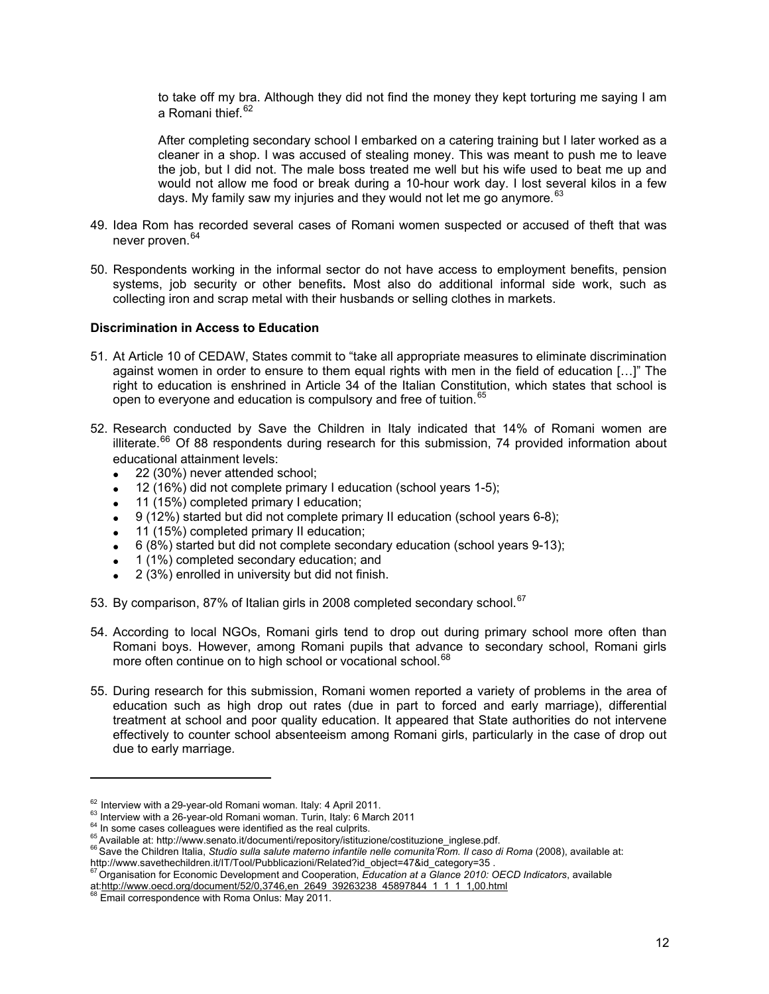to take off my bra. Although they did not find the money they kept torturing me saying I am a Romani thief.<sup>[62](#page-11-3)</sup>

After completing secondary school I embarked on a catering training but I later worked as a cleaner in a shop. I was accused of stealing money. This was meant to push me to leave the job, but I did not. The male boss treated me well but his wife used to beat me up and would not allow me food or break during a 10-hour work day. I lost several kilos in a few days. My family saw my injuries and they would not let me go anymore*.* [63](#page-12-0)

- 49. Idea Rom has recorded several cases of Romani women suspected or accused of theft that was never proven.<sup>[64](#page-12-1)</sup>
- 50. Respondents working in the informal sector do not have access to employment benefits, pension systems, job security or other benefits**.** Most also do additional informal side work, such as collecting iron and scrap metal with their husbands or selling clothes in markets.

#### **Discrimination in Access to Education**

- 51. At Article 10 of CEDAW, States commit to "take all appropriate measures to eliminate discrimination against women in order to ensure to them equal rights with men in the field of education […]" The right to education is enshrined in Article 34 of the Italian Constitution, which states that school is open to everyone and education is compulsory and free of tuition.<sup>[65](#page-12-2)</sup>
- 52. Research conducted by Save the Children in Italy indicated that 14% of Romani women are illiterate.<sup>[66](#page-12-3)</sup> Of 88 respondents during research for this submission, 74 provided information about educational attainment levels:
	- 22 (30%) never attended school;
	- 12 (16%) did not complete primary I education (school years 1-5);
	- 11 (15%) completed primary I education;
	- 9 (12%) started but did not complete primary II education (school years 6-8);
	- 11 (15%) completed primary II education;
	- 6 (8%) started but did not complete secondary education (school years 9-13);
	- 1 (1%) completed secondary education; and
	- 2 (3%) enrolled in university but did not finish.
- 53. By comparison, 87% of Italian girls in 2008 completed secondary school.<sup>[67](#page-12-4)</sup>
- 54. According to local NGOs, Romani girls tend to drop out during primary school more often than Romani boys. However, among Romani pupils that advance to secondary school, Romani girls more often continue on to high school or vocational school.<sup>[68](#page-12-5)</sup>
- 55. During research for this submission, Romani women reported a variety of problems in the area of education such as high drop out rates (due in part to forced and early marriage), differential treatment at school and poor quality education. It appeared that State authorities do not intervene effectively to counter school absenteeism among Romani girls, particularly in the case of drop out due to early marriage*.*

<span id="page-12-1"></span>

<span id="page-12-3"></span><span id="page-12-2"></span>

<span id="page-12-6"></span><span id="page-12-0"></span><sup>&</sup>lt;sup>62</sup> Interview with a 29-year-old Romani woman. Italy: 4 April 2011.<br>
<sup>63</sup> Interview with a 26-year-old Romani woman. Turin, Italy: 6 March 2011<br>
<sup>64</sup> In some cases colleagues were identified as the real culprits.<br>
<sup>65</sup> A

<span id="page-12-4"></span>Organisation for Economic Development and Cooperation, Education at a Glance 2010: OECD Indicators, available at:http://www.oecd.org/document/52/0,3746,en\_2649\_39263238\_45897844\_1\_1\_1,00.html 68 Email correspondence with Roma Onlus: May 2011.

<span id="page-12-5"></span>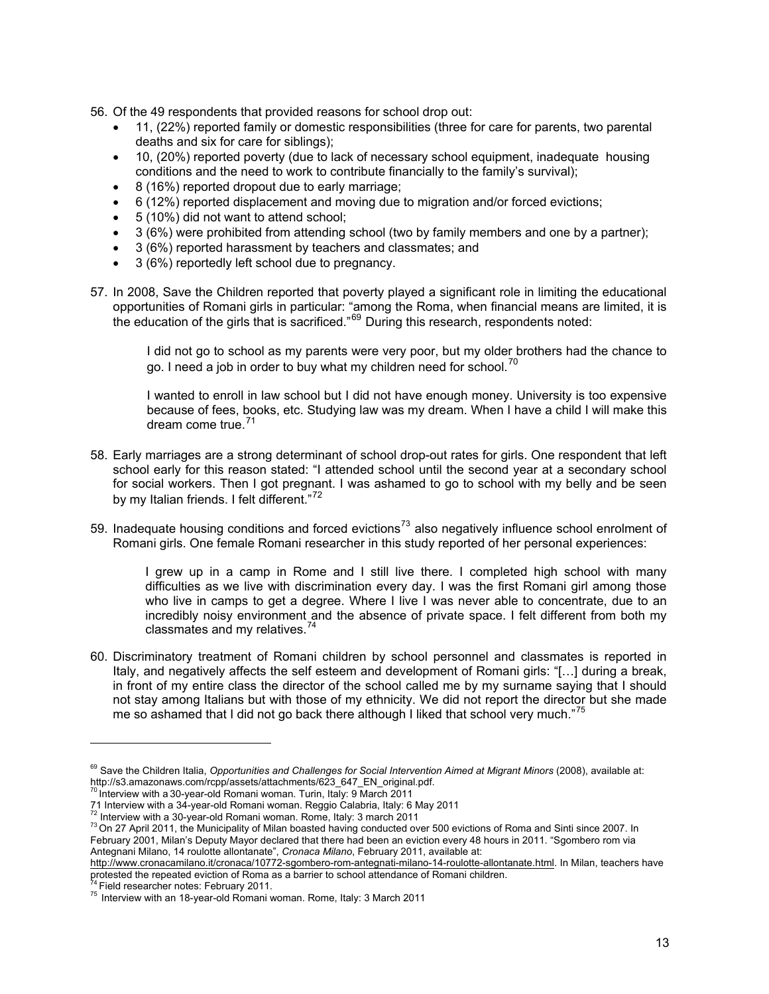- 56. Of the 49 respondents that provided reasons for school drop out:
	- 11, (22%) reported family or domestic responsibilities (three for care for parents, two parental deaths and six for care for siblings);
	- 10, (20%) reported poverty (due to lack of necessary school equipment, inadequate housing conditions and the need to work to contribute financially to the family's survival);
	- 8 (16%) reported dropout due to early marriage;
	- 6 (12%) reported displacement and moving due to migration and/or forced evictions;
	- 5 (10%) did not want to attend school;
	- 3 (6%) were prohibited from attending school (two by family members and one by a partner);
	- 3 (6%) reported harassment by teachers and classmates; and
	- 3 (6%) reportedly left school due to pregnancy.
- 57. In 2008, Save the Children reported that poverty played a significant role in limiting the educational opportunities of Romani girls in particular: "among the Roma, when financial means are limited, it is the education of the girls that is sacrificed."<sup>[69](#page-12-6)</sup> During this research, respondents noted:

I did not go to school as my parents were very poor, but my older brothers had the chance to go. I need a job in order to buy what my children need for school.<sup>[70](#page-13-0)</sup>

I wanted to enroll in law school but I did not have enough money. University is too expensive because of fees, books, etc. Studying law was my dream. When I have a child I will make this dream come true.<sup>[71](#page-13-1)</sup>

- 58. Early marriages are a strong determinant of school drop-out rates for girls. One respondent that left school early for this reason stated: "I attended school until the second year at a secondary school for social workers. Then I got pregnant. I was ashamed to go to school with my belly and be seen by my Italian friends. I felt different."<sup>[72](#page-13-2)</sup>
- 59. Inadequate housing conditions and forced evictions<sup>[73](#page-13-3)</sup> also negatively influence school enrolment of Romani girls. One female Romani researcher in this study reported of her personal experiences:

I grew up in a camp in Rome and I still live there. I completed high school with many difficulties as we live with discrimination every day. I was the first Romani girl among those who live in camps to get a degree. Where I live I was never able to concentrate, due to an incredibly noisy environment and the absence of private space. I felt different from both my classmates and my relatives.<sup>[74](#page-13-4)</sup>

60. Discriminatory treatment of Romani children by school personnel and classmates is reported in Italy, and negatively affects the self esteem and development of Romani girls: "[…] during a break, in front of my entire class the director of the school called me by my surname saying that I should not stay among Italians but with those of my ethnicity. We did not report the director but she made me so ashamed that I did not go back there although I liked that school very much."<sup>[75](#page-13-5)</sup>

<sup>&</sup>lt;sup>69</sup> Save the Children Italia, Opportunities and Challenges for Social Intervention Aimed at Migrant Minors (2008), available at: http://s3.amazonaws.com/rcpp/assets/attachments/623\_647\_EN\_original.pdf. <sup>70</sup> Interview with a 30-year-old Romani woman. Turin, Italy: 9 March 2011

<span id="page-13-0"></span>

<span id="page-13-1"></span><sup>71</sup> Interview with a 34-year-old Romani woman. Reggio Calabria, Italy: 6 May 2011<br><sup>72</sup> Interview with a 30-year-old Romani woman. Rome, Italy: 3 march 2011

<span id="page-13-2"></span>

<span id="page-13-3"></span> $73$  On 27 April 2011, the Municipality of Milan boasted having conducted over 500 evictions of Roma and Sinti since 2007. In February 2001, Milan's Deputy Mayor declared that there had been an eviction every 48 hours in 2011. "Sgombero rom via Antegnani Milano, 14 roulotte allontanate", *Cronaca Milano*, February 2011, available at:

<http://www.cronacamilano.it/cronaca/10772-sgombero-rom-antegnati-milano-14-roulotte-allontanate.html>. In Milan, teachers have protested the repeated eviction of Roma as a barrier to school attendance of Romani children.<br><sup>74</sup> Field researcher notes: February 2011.<br><sup>75</sup> Interview with an 18-year-old Romani woman. Rome, Italy: 3 March 2011

<span id="page-13-4"></span>

<span id="page-13-5"></span>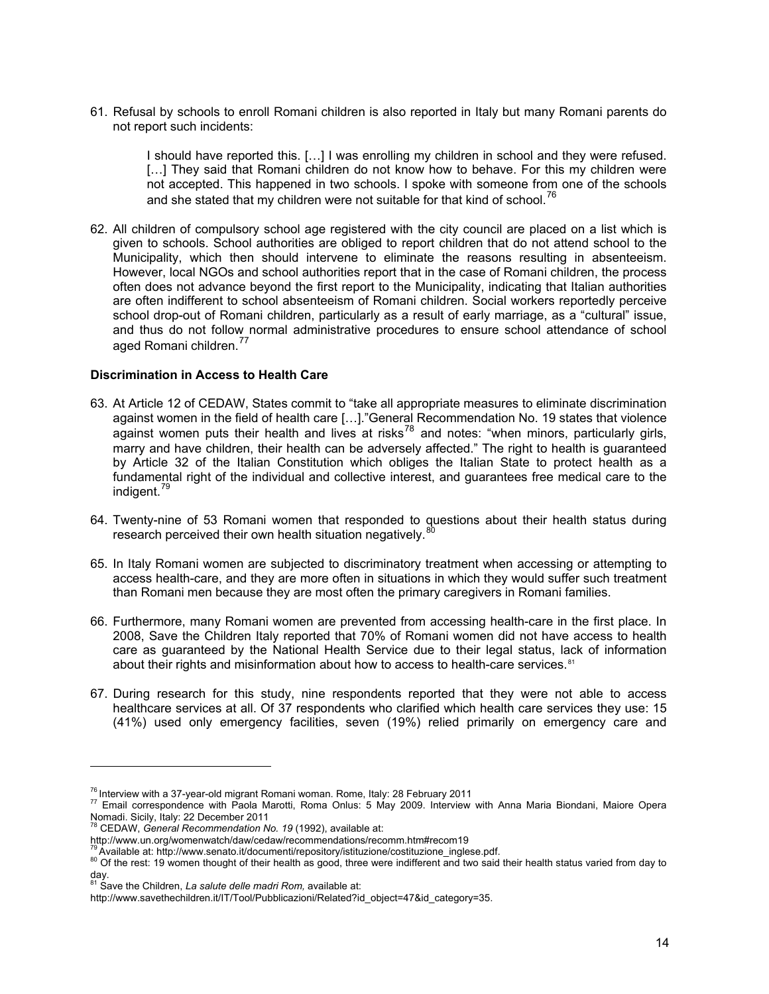61. Refusal by schools to enroll Romani children is also reported in Italy but many Romani parents do not report such incidents:

I should have reported this. […] I was enrolling my children in school and they were refused. [...] They said that Romani children do not know how to behave. For this my children were not accepted. This happened in two schools. I spoke with someone from one of the schools and she stated that my children were not suitable for that kind of school.<sup>[76](#page-13-0)</sup>

62. All children of compulsory school age registered with the city council are placed on a list which is given to schools. School authorities are obliged to report children that do not attend school to the Municipality, which then should intervene to eliminate the reasons resulting in absenteeism. However, local NGOs and school authorities report that in the case of Romani children, the process often does not advance beyond the first report to the Municipality, indicating that Italian authorities are often indifferent to school absenteeism of Romani children. Social workers reportedly perceive school drop-out of Romani children, particularly as a result of early marriage, as a "cultural" issue, and thus do not follow normal administrative procedures to ensure school attendance of school aged Romani children.<sup>[77](#page-14-0)</sup>

#### **Discrimination in Access to Health Care**

- 63. At Article 12 of CEDAW, States commit to "take all appropriate measures to eliminate discrimination against women in the field of health care […]."General Recommendation No. 19 states that violence against women puts their health and lives at risks<sup>[78](#page-14-1)</sup> and notes: "when minors, particularly girls, marry and have children, their health can be adversely affected." The right to health is guaranteed by Article 32 of the Italian Constitution which obliges the Italian State to protect health as a fundamental right of the individual and collective interest, and guarantees free medical care to the indigent.<sup>[79](#page-14-2)</sup>
- 64. Twenty-nine of 53 Romani women that responded to questions about their health status during research perceived their own health situation negatively. $\delta$
- 65. In Italy Romani women are subjected to discriminatory treatment when accessing or attempting to access health-care, and they are more often in situations in which they would suffer such treatment than Romani men because they are most often the primary caregivers in Romani families.
- 66. Furthermore, many Romani women are prevented from accessing health-care in the first place. In 2008, Save the Children Italy reported that 70% of Romani women did not have access to health care as guaranteed by the National Health Service due to their legal status, lack of information about their rights and misinformation about how to access to health-care services.<sup>[81](#page-14-4)</sup>
- 67. During research for this study, nine respondents reported that they were not able to access healthcare services at all. Of 37 respondents who clarified which health care services they use: 15 (41%) used only emergency facilities, seven (19%) relied primarily on emergency care and

<span id="page-14-0"></span><sup>&</sup>lt;sup>76</sup> Interview with a 37-year-old migrant Romani woman. Rome, Italy: 28 February 2011<br><sup>77</sup> Email correspondence with Paola Marotti, Roma Onlus: 5 May 2009. Interview with Anna Maria Biondani, Maiore Opera Nomadi. Sicily, Italy: 22 December 2011 78 CEDAW, *General Recommendation No. 19* (1992), available at:

<span id="page-14-1"></span>http://www.un.org/womenwatch/daw/cedaw/recommendations/recomm.htm#recom19<br><sup>79</sup> Available at: http://www.senato.it/documenti/repository/istituzione/costituzione inglese.pdf.

<span id="page-14-3"></span><span id="page-14-2"></span><sup>&</sup>lt;sup>80</sup> Of the rest: 19 women thought of their health as good, three were indifferent and two said their health status varied from day to

day. 81 Save the Children, *La salute delle madri Rom,* available at:

<span id="page-14-4"></span>http://www.savethechildren.it/IT/Tool/Pubblicazioni/Related?id\_object=47&id\_category=35.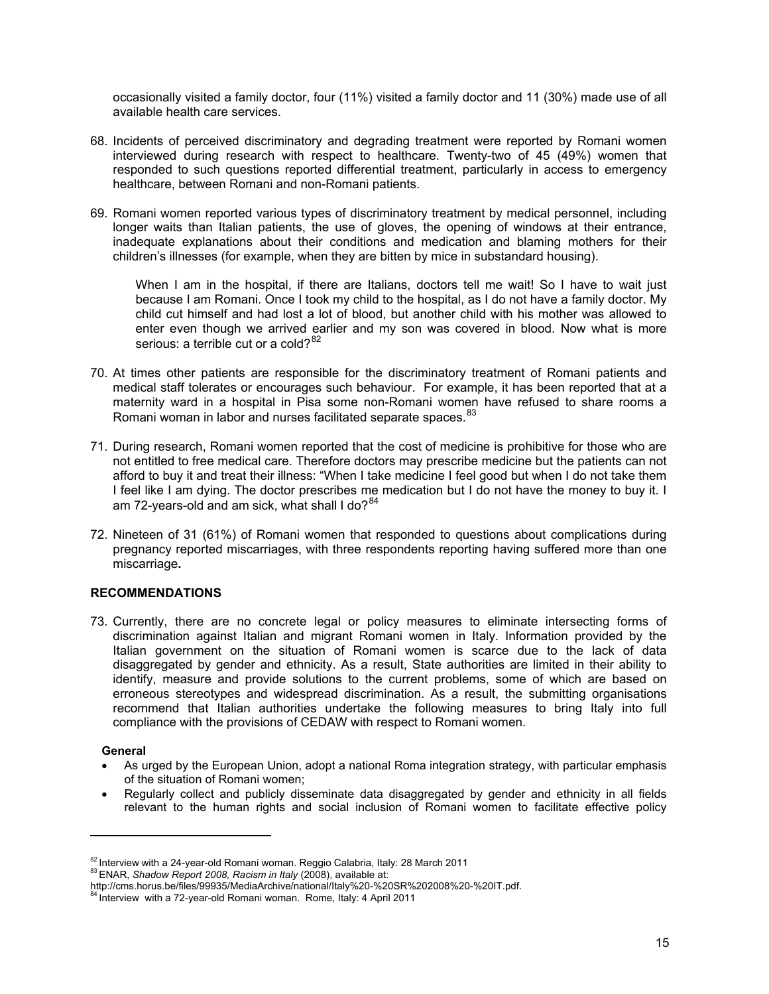occasionally visited a family doctor, four (11%) visited a family doctor and 11 (30%) made use of all available health care services.

- 68. Incidents of perceived discriminatory and degrading treatment were reported by Romani women interviewed during research with respect to healthcare. Twenty-two of 45 (49%) women that responded to such questions reported differential treatment, particularly in access to emergency healthcare, between Romani and non-Romani patients.
- 69. Romani women reported various types of discriminatory treatment by medical personnel, including longer waits than Italian patients, the use of gloves, the opening of windows at their entrance, inadequate explanations about their conditions and medication and blaming mothers for their children's illnesses (for example, when they are bitten by mice in substandard housing).

When I am in the hospital, if there are Italians, doctors tell me wait! So I have to wait just because I am Romani. Once I took my child to the hospital, as I do not have a family doctor. My child cut himself and had lost a lot of blood, but another child with his mother was allowed to enter even though we arrived earlier and my son was covered in blood. Now what is more serious: a terrible cut or a cold? $82$ 

- 70. At times other patients are responsible for the discriminatory treatment of Romani patients and medical staff tolerates or encourages such behaviour. For example, it has been reported that at a maternity ward in a hospital in Pisa some non-Romani women have refused to share rooms a Romani woman in labor and nurses facilitated separate spaces. <sup>[83](#page-15-0)</sup>
- 71. During research, Romani women reported that the cost of medicine is prohibitive for those who are not entitled to free medical care. Therefore doctors may prescribe medicine but the patients can not afford to buy it and treat their illness: "When I take medicine I feel good but when I do not take them I feel like I am dying. The doctor prescribes me medication but I do not have the money to buy it. I am 72-years-old and am sick, what shall I do? $84$
- 72. Nineteen of 31 (61%) of Romani women that responded to questions about complications during pregnancy reported miscarriages, with three respondents reporting having suffered more than one miscarriage**.**

#### **RECOMMENDATIONS**

73. Currently, there are no concrete legal or policy measures to eliminate intersecting forms of discrimination against Italian and migrant Romani women in Italy. Information provided by the Italian government on the situation of Romani women is scarce due to the lack of data disaggregated by gender and ethnicity. As a result, State authorities are limited in their ability to identify, measure and provide solutions to the current problems, some of which are based on erroneous stereotypes and widespread discrimination. As a result, the submitting organisations recommend that Italian authorities undertake the following measures to bring Italy into full compliance with the provisions of CEDAW with respect to Romani women.

#### **General**

- As urged by the European Union, adopt a national Roma integration strategy, with particular emphasis of the situation of Romani women;
- Regularly collect and publicly disseminate data disaggregated by gender and ethnicity in all fields relevant to the human rights and social inclusion of Romani women to facilitate effective policy

<sup>&</sup>lt;sup>82</sup> Interview with a 24-year-old Romani woman. Reggio Calabria, Italy: 28 March 2011<br><sup>83</sup> ENAR, *Shadow Report 2008, Racism in Italy* (2008), available at:

<span id="page-15-1"></span><span id="page-15-0"></span>http://cms.horus.be/files/99935/MediaArchive/national/Italy%20-%20SR%202008%20-%20IT.pdf. 84 Interview with a 72-year-old Romani woman. Rome, Italy: 4 April 2011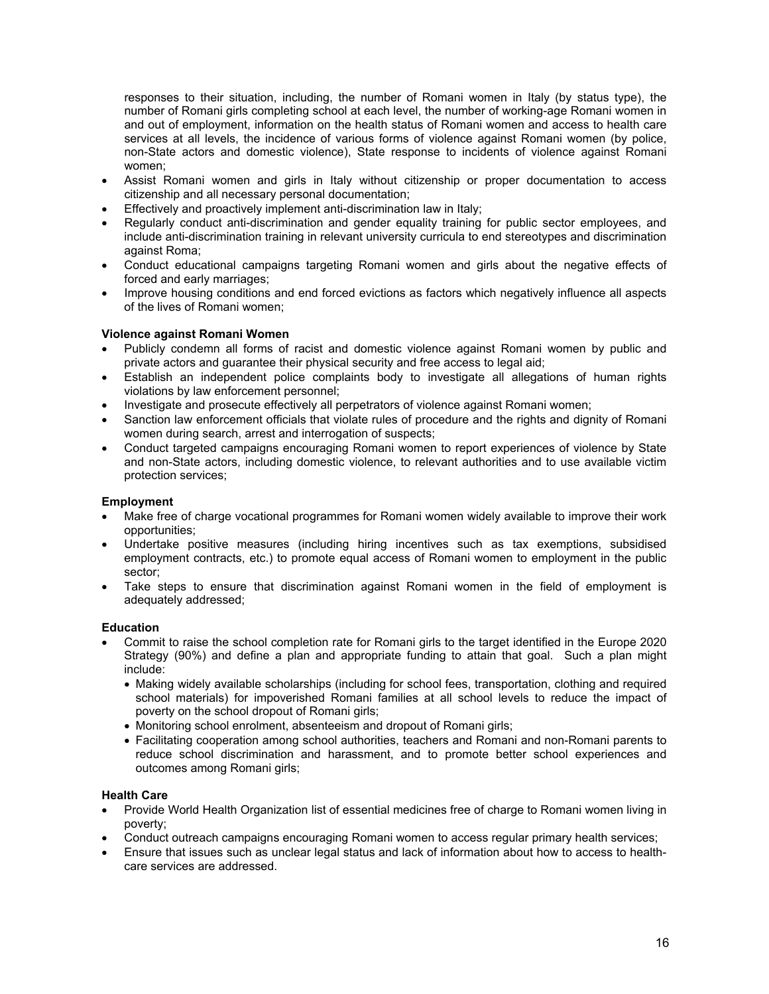responses to their situation, including, the number of Romani women in Italy (by status type), the number of Romani girls completing school at each level, the number of working-age Romani women in and out of employment, information on the health status of Romani women and access to health care services at all levels, the incidence of various forms of violence against Romani women (by police, non-State actors and domestic violence), State response to incidents of violence against Romani women;

- Assist Romani women and girls in Italy without citizenship or proper documentation to access citizenship and all necessary personal documentation;
- Effectively and proactively implement anti-discrimination law in Italy;
- Regularly conduct anti-discrimination and gender equality training for public sector employees, and include anti-discrimination training in relevant university curricula to end stereotypes and discrimination against Roma;
- Conduct educational campaigns targeting Romani women and girls about the negative effects of forced and early marriages;
- Improve housing conditions and end forced evictions as factors which negatively influence all aspects of the lives of Romani women;

#### **Violence against Romani Women**

- Publicly condemn all forms of racist and domestic violence against Romani women by public and private actors and guarantee their physical security and free access to legal aid;
- Establish an independent police complaints body to investigate all allegations of human rights violations by law enforcement personnel;
- Investigate and prosecute effectively all perpetrators of violence against Romani women;
- Sanction law enforcement officials that violate rules of procedure and the rights and dignity of Romani women during search, arrest and interrogation of suspects;
- Conduct targeted campaigns encouraging Romani women to report experiences of violence by State and non-State actors, including domestic violence, to relevant authorities and to use available victim protection services;

#### **Employment**

- Make free of charge vocational programmes for Romani women widely available to improve their work opportunities;
- Undertake positive measures (including hiring incentives such as tax exemptions, subsidised employment contracts, etc.) to promote equal access of Romani women to employment in the public sector;
- Take steps to ensure that discrimination against Romani women in the field of employment is adequately addressed;

#### **Education**

- Commit to raise the school completion rate for Romani girls to the target identified in the Europe 2020 Strategy (90%) and define a plan and appropriate funding to attain that goal. Such a plan might include:
	- Making widely available scholarships (including for school fees, transportation, clothing and required school materials) for impoverished Romani families at all school levels to reduce the impact of poverty on the school dropout of Romani girls;
	- Monitoring school enrolment, absenteeism and dropout of Romani girls;
	- Facilitating cooperation among school authorities, teachers and Romani and non-Romani parents to reduce school discrimination and harassment, and to promote better school experiences and outcomes among Romani girls;

#### **Health Care**

- Provide World Health Organization list of essential medicines free of charge to Romani women living in poverty;
- Conduct outreach campaigns encouraging Romani women to access regular primary health services;
- Ensure that issues such as unclear legal status and lack of information about how to access to healthcare services are addressed.